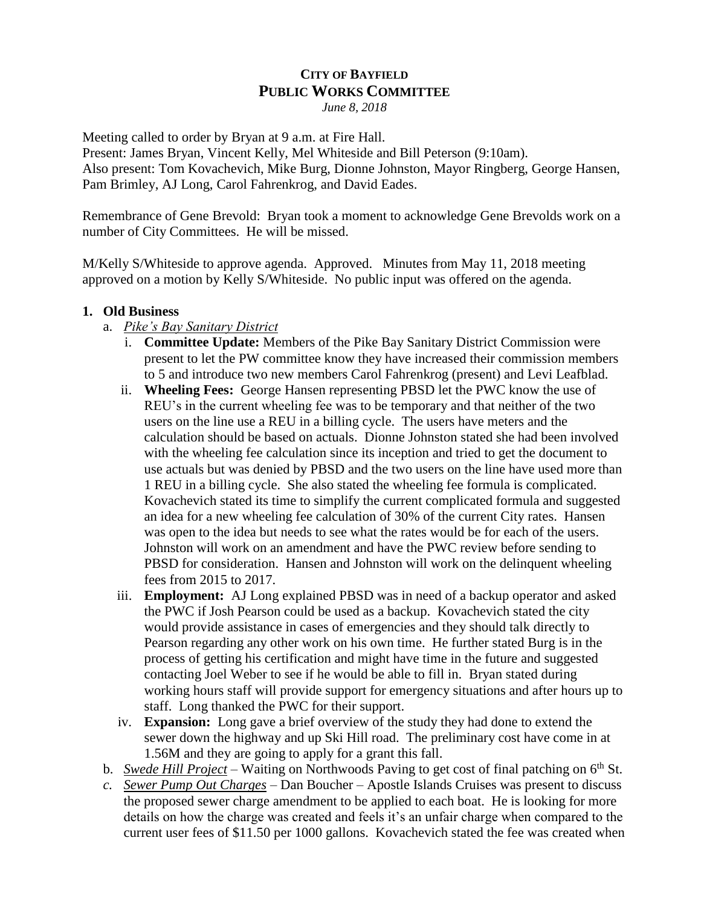## **CITY OF BAYFIELD PUBLIC WORKS COMMITTEE** *June 8, 2018*

Meeting called to order by Bryan at 9 a.m. at Fire Hall.

Present: James Bryan, Vincent Kelly, Mel Whiteside and Bill Peterson (9:10am). Also present: Tom Kovachevich, Mike Burg, Dionne Johnston, Mayor Ringberg, George Hansen, Pam Brimley, AJ Long, Carol Fahrenkrog, and David Eades.

Remembrance of Gene Brevold: Bryan took a moment to acknowledge Gene Brevolds work on a number of City Committees. He will be missed.

M/Kelly S/Whiteside to approve agenda. Approved. Minutes from May 11, 2018 meeting approved on a motion by Kelly S/Whiteside. No public input was offered on the agenda.

## **1. Old Business**

- a. *Pike's Bay Sanitary District*
	- i. **Committee Update:** Members of the Pike Bay Sanitary District Commission were present to let the PW committee know they have increased their commission members to 5 and introduce two new members Carol Fahrenkrog (present) and Levi Leafblad.
	- ii. **Wheeling Fees:** George Hansen representing PBSD let the PWC know the use of REU's in the current wheeling fee was to be temporary and that neither of the two users on the line use a REU in a billing cycle. The users have meters and the calculation should be based on actuals. Dionne Johnston stated she had been involved with the wheeling fee calculation since its inception and tried to get the document to use actuals but was denied by PBSD and the two users on the line have used more than 1 REU in a billing cycle. She also stated the wheeling fee formula is complicated. Kovachevich stated its time to simplify the current complicated formula and suggested an idea for a new wheeling fee calculation of 30% of the current City rates. Hansen was open to the idea but needs to see what the rates would be for each of the users. Johnston will work on an amendment and have the PWC review before sending to PBSD for consideration. Hansen and Johnston will work on the delinquent wheeling fees from 2015 to 2017.
	- iii. **Employment:** AJ Long explained PBSD was in need of a backup operator and asked the PWC if Josh Pearson could be used as a backup. Kovachevich stated the city would provide assistance in cases of emergencies and they should talk directly to Pearson regarding any other work on his own time. He further stated Burg is in the process of getting his certification and might have time in the future and suggested contacting Joel Weber to see if he would be able to fill in. Bryan stated during working hours staff will provide support for emergency situations and after hours up to staff. Long thanked the PWC for their support.
	- iv. **Expansion:** Long gave a brief overview of the study they had done to extend the sewer down the highway and up Ski Hill road. The preliminary cost have come in at 1.56M and they are going to apply for a grant this fall.
- b. *Swede Hill Project* Waiting on Northwoods Paving to get cost of final patching on 6<sup>th</sup> St.
- *c. Sewer Pump Out Charges –* Dan Boucher Apostle Islands Cruises was present to discuss the proposed sewer charge amendment to be applied to each boat. He is looking for more details on how the charge was created and feels it's an unfair charge when compared to the current user fees of \$11.50 per 1000 gallons. Kovachevich stated the fee was created when